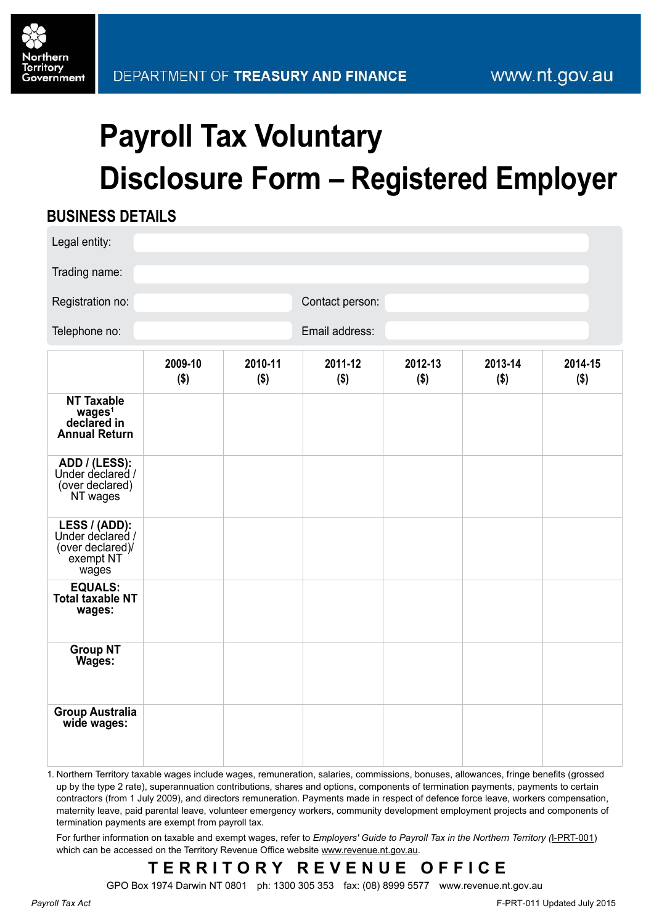# **Payroll Tax Voluntary Disclosure Form – Registered Employer**

### **BUSINESS DETAILS**

| Legal entity:                                                                  |                    |                    |                 |                    |                    |                    |  |
|--------------------------------------------------------------------------------|--------------------|--------------------|-----------------|--------------------|--------------------|--------------------|--|
| Trading name:                                                                  |                    |                    |                 |                    |                    |                    |  |
| Registration no:                                                               |                    |                    | Contact person: |                    |                    |                    |  |
| Telephone no:                                                                  |                    |                    |                 | Email address:     |                    |                    |  |
|                                                                                | 2009-10<br>$($ \$) | 2010-11<br>$($ \$) | 2011-12<br>\$)  | 2012-13<br>$($ \$) | 2013-14<br>$($ \$) | 2014-15<br>$($ \$) |  |
| <b>NT Taxable</b><br>wages <sup>1</sup><br>declared in<br><b>Annual Return</b> |                    |                    |                 |                    |                    |                    |  |
| ADD / (LESS):<br>Under declared /<br>(over declared)<br>NT wages               |                    |                    |                 |                    |                    |                    |  |
| LESS / (ADD):<br>Under declared /<br>(over declared)/<br>exempt NT<br>wages    |                    |                    |                 |                    |                    |                    |  |
| <b>EQUALS:</b><br><b>Total taxable NT</b><br>wages:                            |                    |                    |                 |                    |                    |                    |  |
| <b>Group NT</b><br>Wages:                                                      |                    |                    |                 |                    |                    |                    |  |
| <b>Group Australia</b><br>wide wages:                                          |                    |                    |                 |                    |                    |                    |  |

1. Northern Territory taxable wages include wages, remuneration, salaries, commissions, bonuses, allowances, fringe benefits (grossed up by the type 2 rate), superannuation contributions, shares and options, components of termination payments, payments to certain contractors (from 1 July 2009), and directors remuneration. Payments made in respect of defence force leave, workers compensation, maternity leave, paid parental leave, volunteer emergency workers, community development employment projects and components of termination payments are exempt from payroll tax.

For further information on taxable and exempt wages, refer to *Employers' Guide to Payroll Tax in the Northern Territory (*[I-PRT-001\)](http://www.treasury.nt.gov.au/PMS/Publications/TaxesRoyaltiesGrants/PayrollTax/I-PRT-001.pdf) which can be accessed on the Territory Revenue Office website [www.revenue.nt.gov.au](http://www.revenue.nt.gov.au).

# **TERRITORY REVENUE OFFIC E**

GPO Box 1974 Darwin NT 0801 ph: 1300 305 353 fax: (08) 8999 5577 www.revenue.nt.gov.au